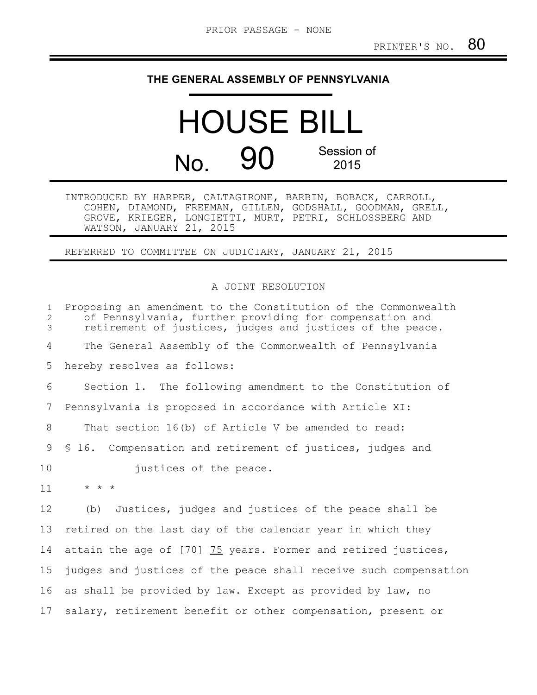## **THE GENERAL ASSEMBLY OF PENNSYLVANIA**

HOUSE BILL No. 90 Session of 2015

INTRODUCED BY HARPER, CALTAGIRONE, BARBIN, BOBACK, CARROLL, COHEN, DIAMOND, FREEMAN, GILLEN, GODSHALL, GOODMAN, GRELL, GROVE, KRIEGER, LONGIETTI, MURT, PETRI, SCHLOSSBERG AND WATSON, JANUARY 21, 2015

REFERRED TO COMMITTEE ON JUDICIARY, JANUARY 21, 2015

## A JOINT RESOLUTION

| $\mathbf{1}$<br>$\overline{2}$<br>3 | Proposing an amendment to the Constitution of the Commonwealth<br>of Pennsylvania, further providing for compensation and<br>retirement of justices, judges and justices of the peace. |
|-------------------------------------|----------------------------------------------------------------------------------------------------------------------------------------------------------------------------------------|
| 4                                   | The General Assembly of the Commonwealth of Pennsylvania                                                                                                                               |
| 5                                   | hereby resolves as follows:                                                                                                                                                            |
| 6                                   | Section 1. The following amendment to the Constitution of                                                                                                                              |
| 7                                   | Pennsylvania is proposed in accordance with Article XI:                                                                                                                                |
| 8                                   | That section 16(b) of Article V be amended to read:                                                                                                                                    |
| 9                                   | \$16. Compensation and retirement of justices, judges and                                                                                                                              |
| 10                                  | justices of the peace.                                                                                                                                                                 |
| 11                                  | $\star$ $\star$ $\star$                                                                                                                                                                |
| 12                                  | Justices, judges and justices of the peace shall be<br>(b)                                                                                                                             |
| 13                                  | retired on the last day of the calendar year in which they                                                                                                                             |
| 14                                  | attain the age of [70] 75 years. Former and retired justices,                                                                                                                          |
| 15 <sub>2</sub>                     | judges and justices of the peace shall receive such compensation                                                                                                                       |
| 16                                  | as shall be provided by law. Except as provided by law, no                                                                                                                             |
| 17                                  | salary, retirement benefit or other compensation, present or                                                                                                                           |